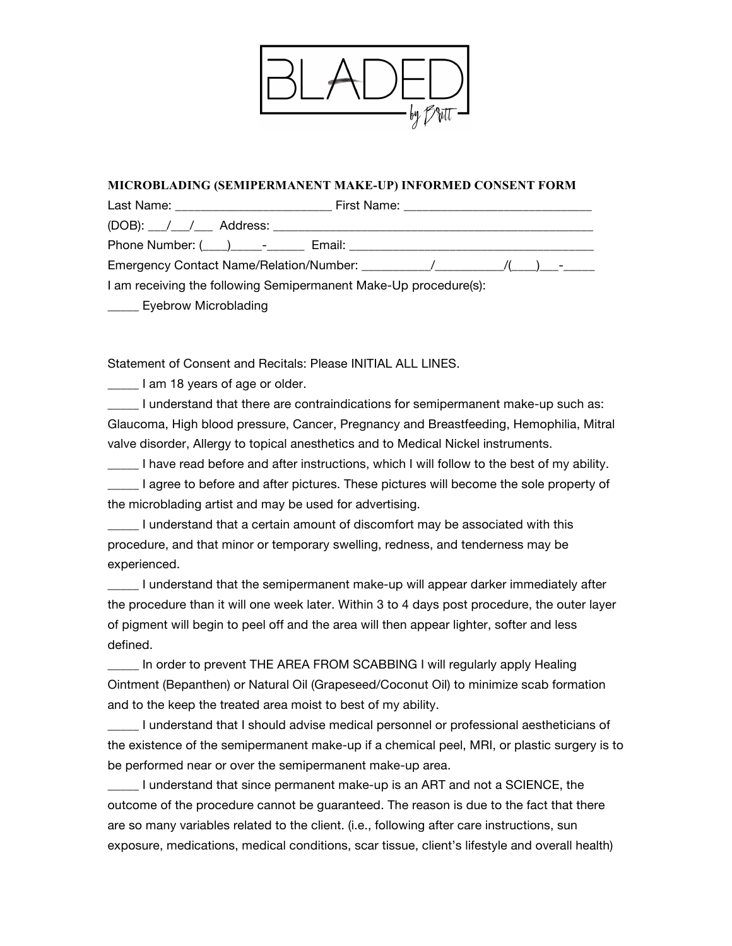| <b>MICROBLADING (SEI</b><br>Last Name:                           | <b>CONSENT FORM</b><br>by |
|------------------------------------------------------------------|---------------------------|
| $(DOB):$ / / Add                                                 |                           |
| Phone Number: (___)                                              |                           |
| <b>Emergency Contact Na</b>                                      |                           |
| I am receiving the following Semipermanent Make-Up procedure(s): |                           |
| <b>Eyebrow Microblading</b>                                      |                           |

Statement of Consent and Recitals: Please INITIAL ALL LINES.

**Lam 18 years of age or older.** 

\_\_\_\_\_ I understand that there are contraindications for semipermanent make-up such as: Glaucoma, High blood pressure, Cancer, Pregnancy and Breastfeeding, Hemophilia, Mitral valve disorder, Allergy to topical anesthetics and to Medical Nickel instruments.

I have read before and after instructions, which I will follow to the best of my ability. \_\_\_\_\_ I agree to before and after pictures. These pictures will become the sole property of the microblading artist and may be used for advertising.

\_\_\_\_\_ I understand that a certain amount of discomfort may be associated with this procedure, and that minor or temporary swelling, redness, and tenderness may be experienced.

\_\_\_\_\_ I understand that the semipermanent make-up will appear darker immediately after the procedure than it will one week later. Within 3 to 4 days post procedure, the outer layer of pigment will begin to peel off and the area will then appear lighter, softer and less defined.

\_\_\_\_\_ In order to prevent THE AREA FROM SCABBING I will regularly apply Healing Ointment (Bepanthen) or Natural Oil (Grapeseed/Coconut Oil) to minimize scab formation and to the keep the treated area moist to best of my ability.

\_\_\_\_\_ I understand that I should advise medical personnel or professional aestheticians of the existence of the semipermanent make-up if a chemical peel, MRI, or plastic surgery is to be performed near or over the semipermanent make-up area.

\_\_\_\_\_ I understand that since permanent make-up is an ART and not a SCIENCE, the outcome of the procedure cannot be guaranteed. The reason is due to the fact that there are so many variables related to the client. (i.e., following after care instructions, sun exposure, medications, medical conditions, scar tissue, client's lifestyle and overall health)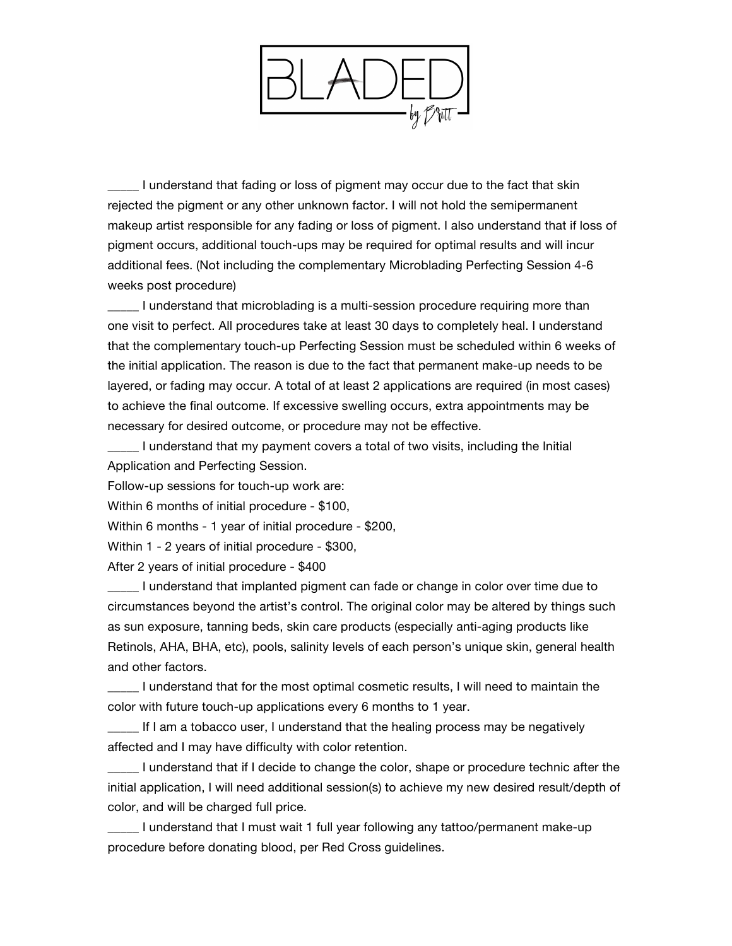

I understand that fading or loss of pigment may occur due to the fact that skin rejected the pigment or any other unknown factor. I will not hold the semipermanent makeup artist responsible for any fading or loss of pigment. I also understand that if loss of pigment occurs, additional touch-ups may be required for optimal results and will incur additional fees. (Not including the complementary Microblading Perfecting Session 4-6 weeks post procedure)

I understand that microblading is a multi-session procedure requiring more than one visit to perfect. All procedures take at least 30 days to completely heal. I understand that the complementary touch-up Perfecting Session must be scheduled within 6 weeks of the initial application. The reason is due to the fact that permanent make-up needs to be layered, or fading may occur. A total of at least 2 applications are required (in most cases) to achieve the final outcome. If excessive swelling occurs, extra appointments may be necessary for desired outcome, or procedure may not be effective.

\_\_\_\_\_ I understand that my payment covers a total of two visits, including the Initial Application and Perfecting Session.

Follow-up sessions for touch-up work are:

Within 6 months of initial procedure - \$100,

Within 6 months - 1 year of initial procedure - \$200,

Within 1 - 2 years of initial procedure - \$300,

After 2 years of initial procedure - \$400

\_\_\_\_\_ I understand that implanted pigment can fade or change in color over time due to circumstances beyond the artist's control. The original color may be altered by things such as sun exposure, tanning beds, skin care products (especially anti-aging products like Retinols, AHA, BHA, etc), pools, salinity levels of each person's unique skin, general health and other factors.

\_\_\_\_\_ I understand that for the most optimal cosmetic results, I will need to maintain the color with future touch-up applications every 6 months to 1 year.

\_\_\_\_\_ If I am a tobacco user, I understand that the healing process may be negatively affected and I may have difficulty with color retention.

\_\_\_\_\_ I understand that if I decide to change the color, shape or procedure technic after the initial application, I will need additional session(s) to achieve my new desired result/depth of color, and will be charged full price.

\_\_\_\_\_ I understand that I must wait 1 full year following any tattoo/permanent make-up procedure before donating blood, per Red Cross guidelines.